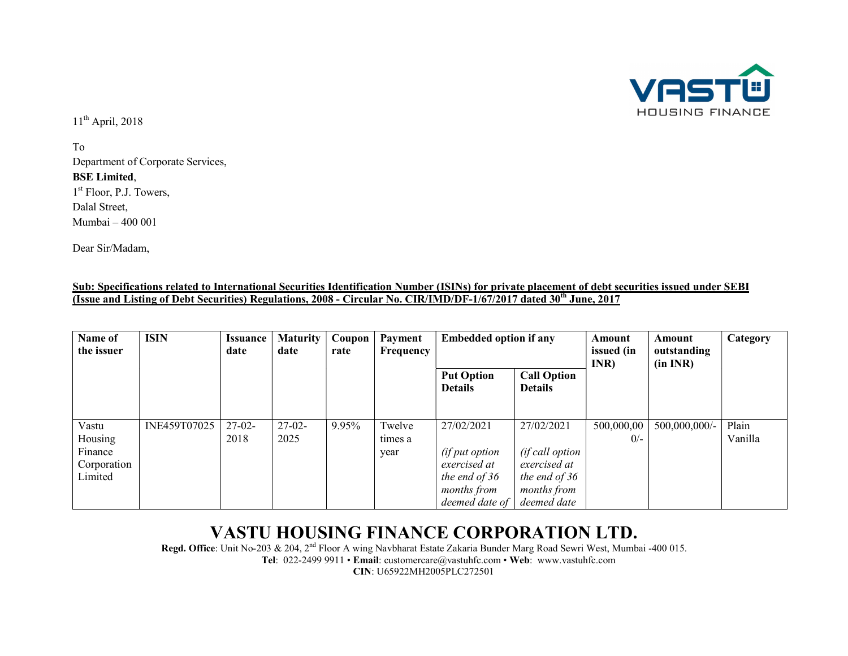

11th April, 2018

To Department of Corporate Services, **BSE Limited,<br>1<sup>st</sup> Floor, P.J. Towers,** Dalal Street, Mumbai – 400 001

Dear Sir/Madam,

| Sub: Specifications related to International Securities Identification Number (ISINs) for private placement of debt securities issued under SEBI |  |
|--------------------------------------------------------------------------------------------------------------------------------------------------|--|
| (Issue and Listing of Debt Securities) Regulations, 2008 - Circular No. CIR/IMD/DF-1/67/2017 dated 30 <sup>th</sup> June, $\Delta$<br>. 201′     |  |

| Name of<br>the issuer                                 | <b>ISIN</b>  | <b>Issuance</b><br>date | <b>Maturity</b><br>date | Coupon<br>rate | Payment<br>Frequency      | <b>Embedded option if any</b>                                                                         |                                                                                              | Amount<br>issued (in<br>INR) | Amount<br>outstanding<br>(in INR) | <b>Category</b>  |
|-------------------------------------------------------|--------------|-------------------------|-------------------------|----------------|---------------------------|-------------------------------------------------------------------------------------------------------|----------------------------------------------------------------------------------------------|------------------------------|-----------------------------------|------------------|
|                                                       |              |                         |                         |                |                           | <b>Put Option</b><br><b>Details</b>                                                                   | <b>Call Option</b><br><b>Details</b>                                                         |                              |                                   |                  |
| Vastu<br>Housing<br>Finance<br>Corporation<br>Limited | INE459T07025 | $27-02-$<br>2018        | $27-02-$<br>2025        | 9.95%          | Twelve<br>times a<br>year | 27/02/2021<br>(if put option<br>exercised at<br>the end of 36<br><i>months from</i><br>deemed date of | 27/02/2021<br>(if call option<br>exercised at<br>the end of 36<br>months from<br>deemed date | 500,000,00<br>$0/-$          | 500,000,000/-                     | Plain<br>Vanilla |

## VASTU HOUSING FINANCE CORPORATION LTD.

Regd. Office: Unit No-203 & 204, 2<sup>nd</sup> Floor A wing Navbharat Estate Zakaria Bunder Marg Road Sewri West, Mumbai -400 015. Tel: 022-2499 9911 • Email: customercare@vastuhfc.com • Web: www.vastuhfc.com CIN: U65922MH2005PLC272501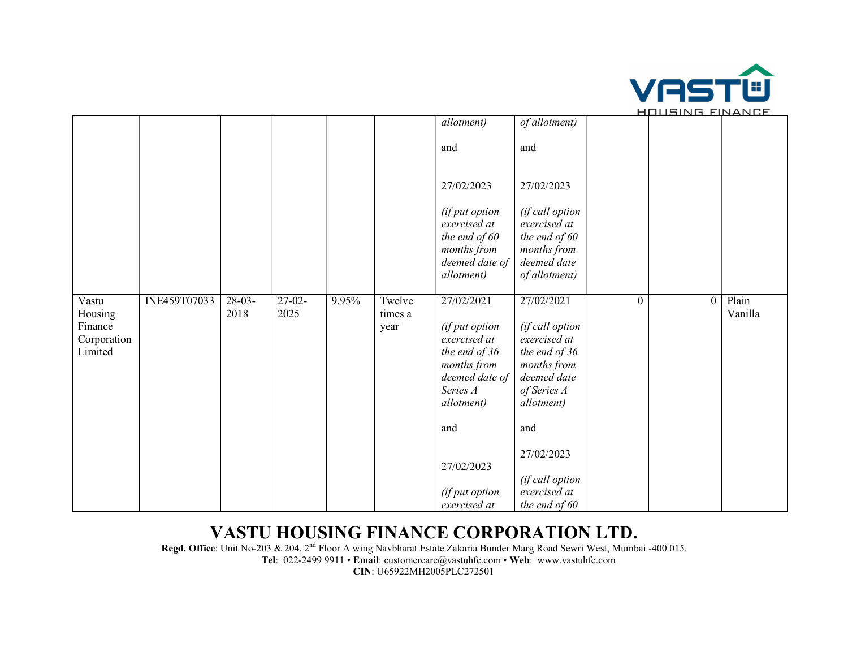

|                                                       |              |                  |                              |       |                           |                                                                                                                                  |                                                                                                                           |                | <u>HUUJINU FIIYAIYUL</u> |                  |
|-------------------------------------------------------|--------------|------------------|------------------------------|-------|---------------------------|----------------------------------------------------------------------------------------------------------------------------------|---------------------------------------------------------------------------------------------------------------------------|----------------|--------------------------|------------------|
|                                                       |              |                  |                              |       |                           | allotment)                                                                                                                       | of allotment)                                                                                                             |                |                          |                  |
|                                                       |              |                  |                              |       |                           | and                                                                                                                              | and                                                                                                                       |                |                          |                  |
|                                                       |              |                  |                              |       |                           | 27/02/2023                                                                                                                       | 27/02/2023                                                                                                                |                |                          |                  |
|                                                       |              |                  |                              |       |                           | (if put option<br>exercised at<br>the end of $60$<br>months from<br>deemed date of<br>allotment)                                 | (if call option<br>exercised at<br>the end of $60$<br>months from<br>deemed date<br>of allotment)                         |                |                          |                  |
| Vastu<br>Housing<br>Finance<br>Corporation<br>Limited | INE459T07033 | $28-03-$<br>2018 | $\overline{27-02}$ -<br>2025 | 9.95% | Twelve<br>times a<br>year | 27/02/2021<br>(if put option<br>exercised at<br>the end of 36<br>months from<br>deemed date of<br>Series A<br><i>allotment</i> ) | 27/02/2021<br>(if call option<br>exercised at<br>the end of 36<br>months from<br>deemed date<br>of Series A<br>allotment) | $\overline{0}$ | $\theta$                 | Plain<br>Vanilla |
|                                                       |              |                  |                              |       |                           | and                                                                                                                              | and                                                                                                                       |                |                          |                  |
|                                                       |              |                  |                              |       |                           | 27/02/2023                                                                                                                       | 27/02/2023                                                                                                                |                |                          |                  |
|                                                       |              |                  |                              |       |                           | (if put option<br>exercised at                                                                                                   | (if call option<br>exercised at<br>the end of $60$                                                                        |                |                          |                  |

## VASTU HOUSING FINANCE CORPORATION LTD.

Regd. Office: Unit No-203 & 204, 2<sup>nd</sup> Floor A wing Navbharat Estate Zakaria Bunder Marg Road Sewri West, Mumbai -400 015. Tel: 022-2499 9911 • Email: customercare@vastuhfc.com • Web: www.vastuhfc.com CIN: U65922MH2005PLC272501